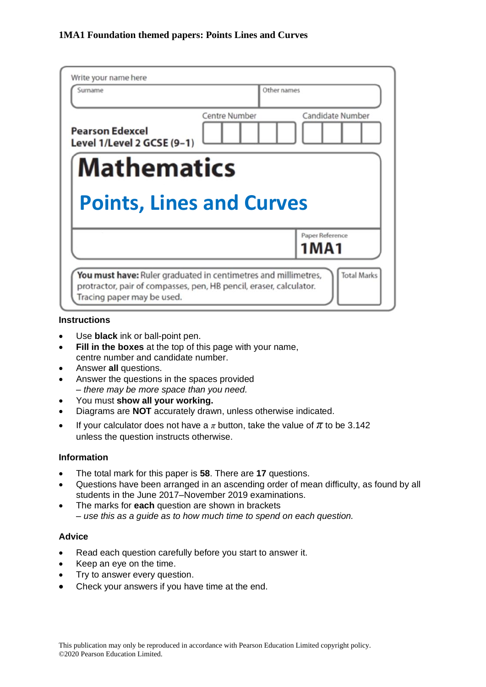| Surname                                              |               | Other names                    |
|------------------------------------------------------|---------------|--------------------------------|
| <b>Pearson Edexcel</b><br>Level 1/Level 2 GCSE (9-1) | Centre Number | Candidate Number               |
| <b>Mathematics</b>                                   |               |                                |
|                                                      |               |                                |
| <b>Points, Lines and Curves</b>                      |               |                                |
|                                                      |               | Paper Reference<br><b>1MA1</b> |

#### **Instructions**

- Use **black** ink or ball-point pen.
- **Fill in the boxes** at the top of this page with your name, centre number and candidate number.
- Answer **all** questions.
- Answer the questions in the spaces provided *– there may be more space than you need.*
- You must **show all your working.**
- Diagrams are **NOT** accurately drawn, unless otherwise indicated.
- If your calculator does not have a  $\pi$  button, take the value of  $\pi$  to be 3.142 unless the question instructs otherwise.

#### **Information**

- The total mark for this paper is **58**. There are **17** questions.
- Questions have been arranged in an ascending order of mean difficulty, as found by all students in the June 2017–November 2019 examinations.
- The marks for **each** question are shown in brackets *– use this as a guide as to how much time to spend on each question.*

#### **Advice**

- Read each question carefully before you start to answer it.
- Keep an eye on the time.
- Try to answer every question.
- Check your answers if you have time at the end.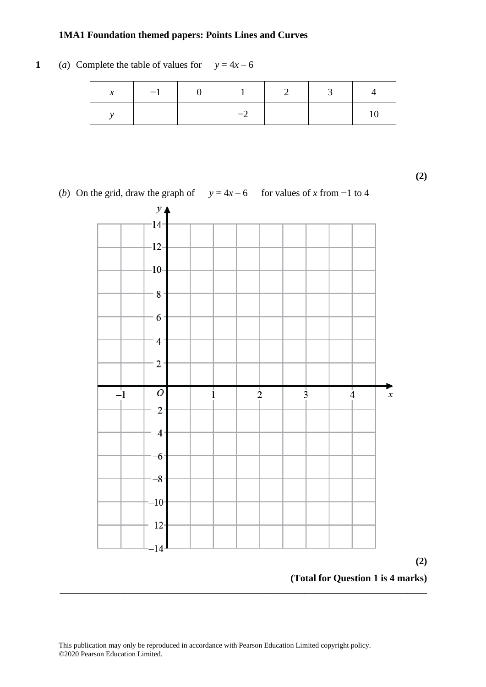# **1** (*a*) Complete the table of values for  $y = 4x - 6$

| $\mathcal{X}$ | $-1$ $-1$ | $\sim$ 1                 | 2 |  |
|---------------|-----------|--------------------------|---|--|
|               |           | $\overline{\phantom{0}}$ |   |  |

**(2)**

**(2)**

(*b*) On the grid, draw the graph of *y* = 4*x* – 6 for values of *x* from –1 to 4

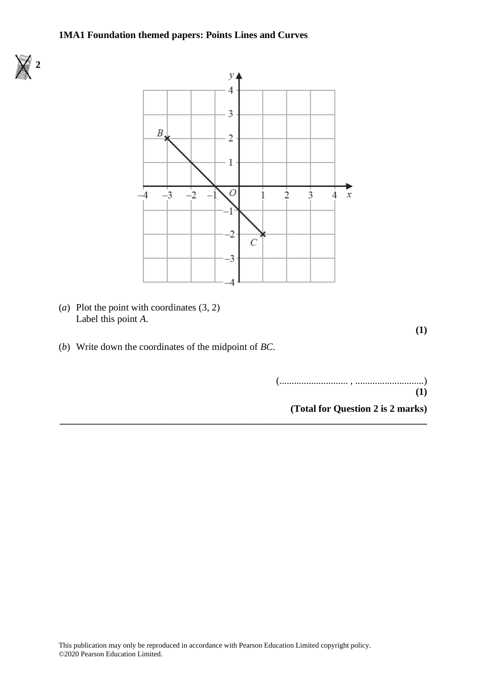



**\_\_\_\_\_\_\_\_\_\_\_\_\_\_\_\_\_\_\_\_\_\_\_\_\_\_\_\_\_\_\_\_\_\_\_\_\_\_\_\_\_\_\_\_\_\_\_\_\_\_\_\_\_\_\_\_\_\_\_\_\_\_\_\_\_\_\_\_\_\_\_\_\_\_\_**

(*a*) Plot the point with coordinates (3, 2) Label this point *A*.

**(1)**

(*b*) Write down the coordinates of the midpoint of *BC*.

| (1) |  |
|-----|--|

**(Total for Question 2 is 2 marks)**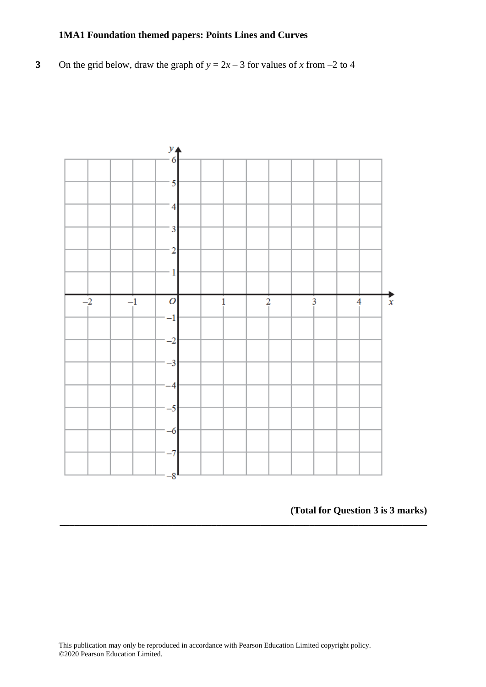**3** On the grid below, draw the graph of  $y = 2x - 3$  for values of *x* from –2 to 4



**(Total for Question 3 is 3 marks)**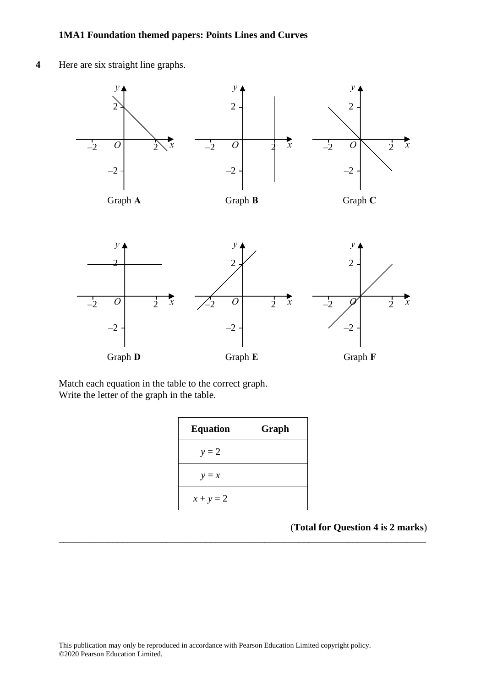



Match each equation in the table to the correct graph. Match each equation in the table to the correct graph. Write the letter of the graph in the table. Write the letter of the graph in the table.

| <b>Equation</b> | Graph |
|-----------------|-------|
| $y = 2$         |       |
| $y = x$         |       |
| $x + y = 2$     |       |

**\_\_\_\_\_\_\_\_\_\_\_\_\_\_\_\_\_\_\_\_\_\_\_\_\_\_\_\_\_\_\_\_\_\_\_\_\_\_\_\_\_\_\_\_\_\_\_\_\_\_\_\_\_\_\_\_\_\_\_\_\_\_\_\_\_\_\_\_\_\_\_\_\_\_\_**

(**Total for Question 4 is 2 marks**) **(Total for Question 13 is 2 marks)**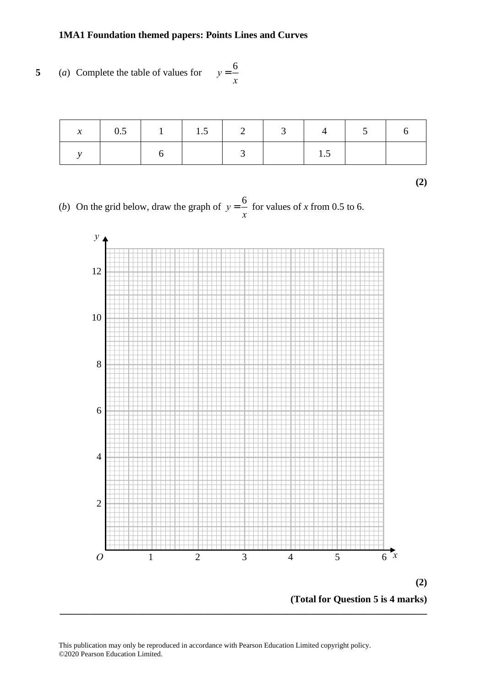**5** (*a*) Complete the table of values for **22** (a) Complete the table of values for *y y* <sup>=</sup> 6 *x*  $\overline{\mathbf{1}}$ 

| $\mathcal{X}$ |  |  |  | 4   5 |  |
|---------------|--|--|--|-------|--|
|               |  |  |  |       |  |

**(2)**

(*b*) On the grid below, draw the graph of  $y =$ 6 (b) On the grid below, draw the graph of  $y = \frac{6}{x}$  for values of *x* from 0.5 to 6.  $=\frac{6}{x}$  for values of *x* from 0.5 to



This publication may only be reproduced in accordance with Pearson Education Limited copyright policy. ©2020 Pearson Education Limited.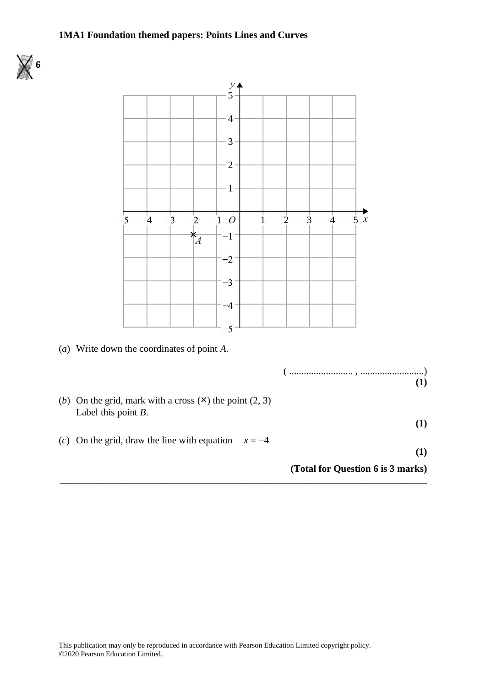

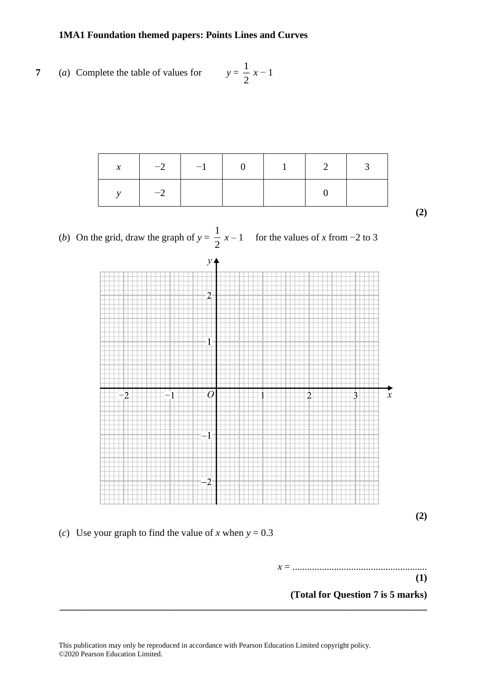7 (a) Complete the table of values for 
$$
y = \frac{1}{2}x - 1
$$

| $\mathbf{x}$ | $-2$ $-1$ $-1$ | $-1$ | - 1 |  |
|--------------|----------------|------|-----|--|
|              |                |      |     |  |

**(2)**

(*b*) On the grid, draw the graph of  $y = \frac{1}{2}$ *x* − 1 for the values of *x* from −2 to 3



**(2)**

(*c*) Use your graph to find the value of *x* when  $y = 0.3$ 

*x* = ....................................................... *x*

**(1)**

**(Total for Question 7 is 5 marks) (Total for Question 13 is 5 marks)**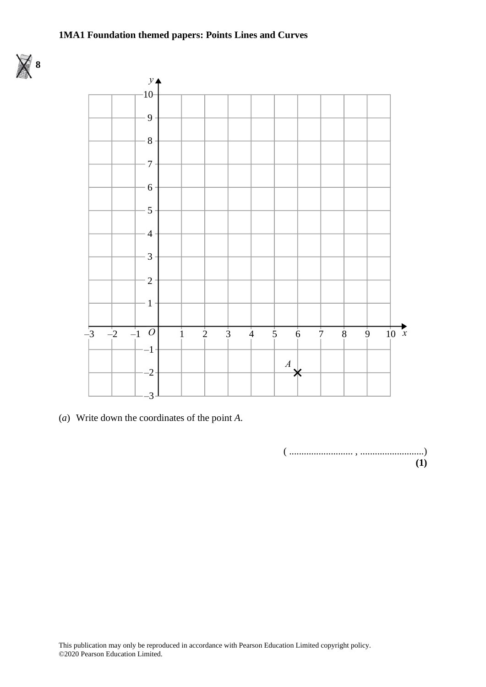



(*a*) Write down the coordinates of the point *A*. (a) Write down the coordinates of the point *A*.

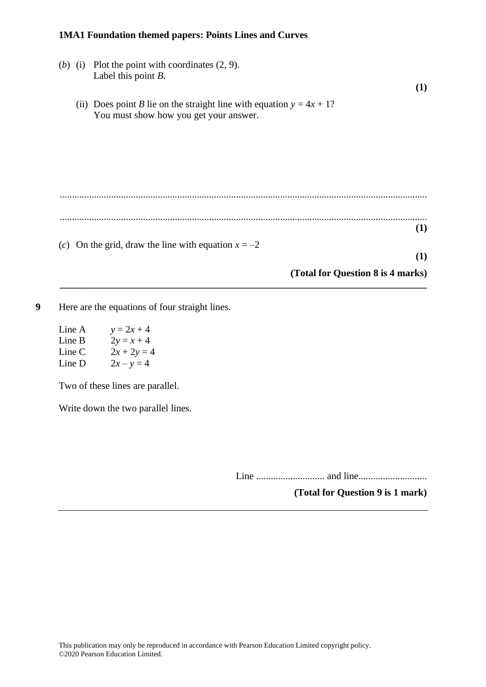- (*b*) (i) Plot the point with coordinates (2, 9). Label this point *B*. **(1)** (ii) Does point *B* lie on the straight line with equation  $y = 4x + 1$ ? You must show how you get your answer. ...................................................................................................................................................... ...................................................................................................................................................... **(1)** (*c*) On the grid, draw the line with equation  $x = -2$ **(1) (Total for Question 8 is 4 marks) \_\_\_\_\_\_\_\_\_\_\_\_\_\_\_\_\_\_\_\_\_\_\_\_\_\_\_\_\_\_\_\_\_\_\_\_\_\_\_\_\_\_\_\_\_\_\_\_\_\_\_\_\_\_\_\_\_\_\_\_\_\_\_\_\_\_\_\_\_\_\_\_\_\_\_**
- **9** Here are the equations of four straight lines.
	- Line A  $y = 2x + 4$ Line B  $2y = x + 4$ Line C  $2x + 2y = 4$ Line D  $2x - y = 4$

Two of these lines are parallel.

Write down the two parallel lines.

Line ............................ and line............................

**(Total for Question 9 is 1 mark)**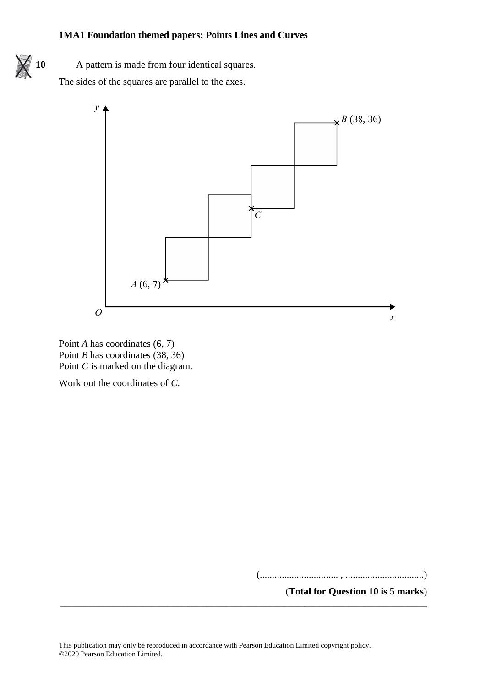

10 A pattern is made from four identical squares.

The sides of the squares are parallel to the axes. The sides of the squares are parallel to the axes.





Work out the coordinates of *C*. Work out the coordinates of *C*.

(................................ , ................................)

**(Total for Question 10 is 5 marks)**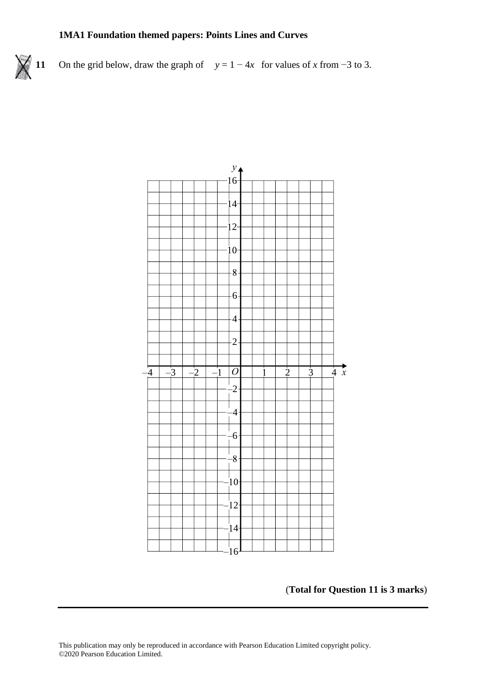



#### (**Total for Question 11 is 3 marks**)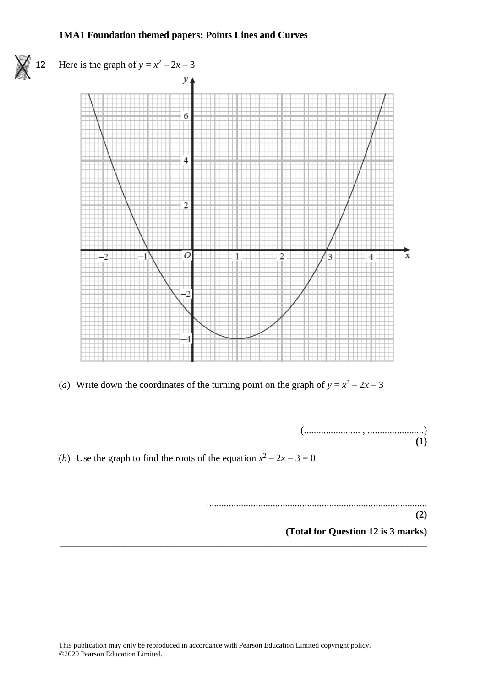

(*a*) Write down the coordinates of the turning point on the graph of  $y = x^2 - 2x - 3$ 

(....................... , .......................) **(1)**

(*b*) Use the graph to find the roots of the equation  $x^2 - 2x - 3 = 0$ 

.......................................................................................... **(2)**

**(Total for Question 12 is 3 marks)**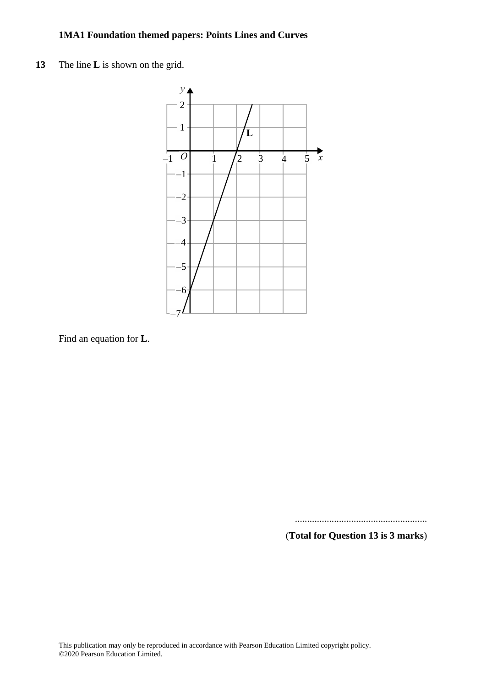**13** The line **L** is shown on the grid. **22** The line **L** is shown on the grid.



Find an equation for **L**. Find an equation for **L**.

......................................................

(**Total for Question 13 is 3 marks**)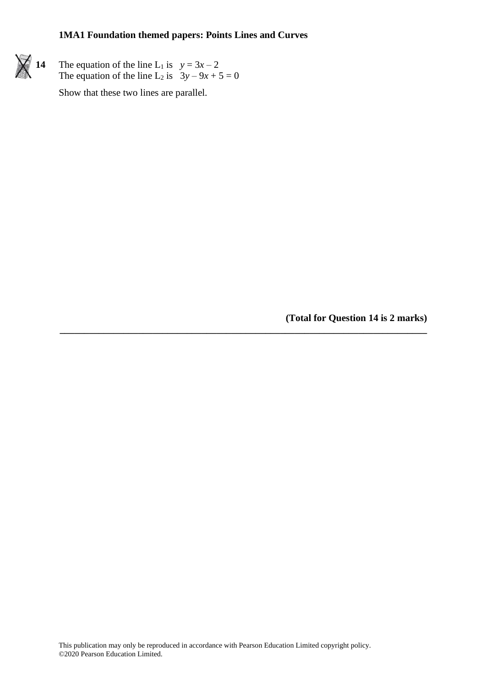

**14** The equation of the line L<sub>1</sub> is  $y = 3x - 2$ The equation of the line L<sub>2</sub> is  $3y - 9x + 5 = 0$ 

Show that these two lines are parallel.

**(Total for Question 14 is 2 marks)**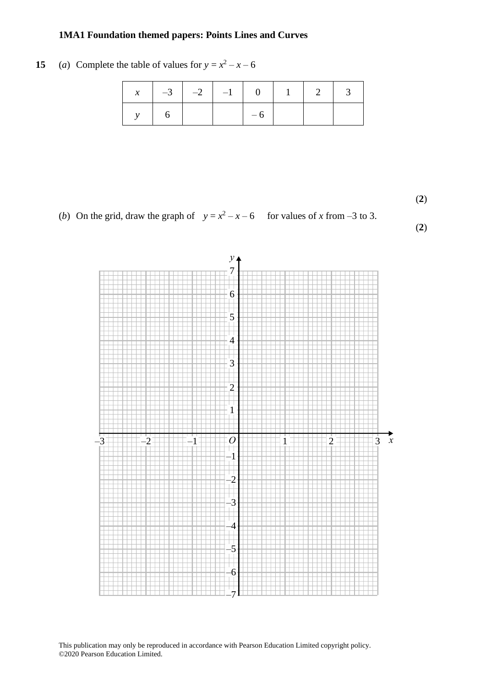#### **15** (*a*) Complete the table of values for  $y = x^2 - x - 6$

|  | $x \mid -3 \mid -2 \mid -1 \mid 0 \mid 1 \mid 2 \mid 3$ |  |  |  |
|--|---------------------------------------------------------|--|--|--|
|  |                                                         |  |  |  |

(**2**) **(2)**

(*b*) On the grid, draw the graph of  $y = x^2 - x - 6$  for values of *x* from -3 to 3.





This publication may only be reproduced in accordance with Pearson Education Limited copyright policy. ©2020 Pearson Education Limited.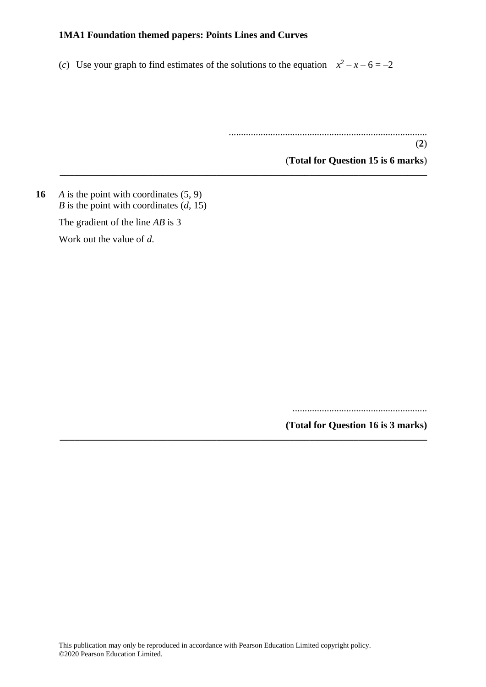(*c*) Use your graph to find estimates of the solutions to the equation  $x^2 - x - 6 = -2$ 

**\_\_\_\_\_\_\_\_\_\_\_\_\_\_\_\_\_\_\_\_\_\_\_\_\_\_\_\_\_\_\_\_\_\_\_\_\_\_\_\_\_\_\_\_\_\_\_\_\_\_\_\_\_\_\_\_\_\_\_\_\_\_\_\_\_\_\_\_\_\_\_\_\_\_\_**

**\_\_\_\_\_\_\_\_\_\_\_\_\_\_\_\_\_\_\_\_\_\_\_\_\_\_\_\_\_\_\_\_\_\_\_\_\_\_\_\_\_\_\_\_\_\_\_\_\_\_\_\_\_\_\_\_\_\_\_\_\_\_\_\_\_\_\_\_\_\_\_\_\_\_\_**

.................................................................................

(**Total for Question 15 is 6 marks**)

(**2**)

**16** *A* is the point with coordinates (5, 9) *B* is the point with coordinates  $(d, 15)$ The gradient of the line *AB* is 3

Work out the value of *d*.

.......................................................

**(Total for Question 16 is 3 marks)**